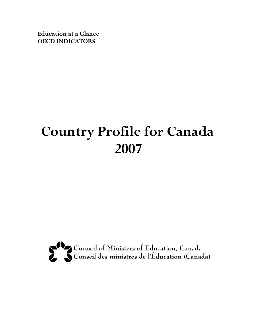**Education at a Glance OECD INDICATORS**

# **Country Profile for Canada 2007**

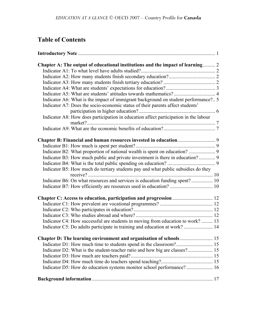# **Table of Contents**

| Chapter A: The output of educational institutions and the impact of learning 2       |  |
|--------------------------------------------------------------------------------------|--|
|                                                                                      |  |
|                                                                                      |  |
|                                                                                      |  |
|                                                                                      |  |
|                                                                                      |  |
| Indicator A6: What is the impact of immigrant background on student performance? 5   |  |
| Indicator A7: Does the socio-economic status of their parents affect students'       |  |
|                                                                                      |  |
| Indicator A8: How does participation in education affect participation in the labour |  |
|                                                                                      |  |
|                                                                                      |  |
|                                                                                      |  |
| Indicator B2: What proportion of national wealth is spent on education?  9           |  |
|                                                                                      |  |
|                                                                                      |  |
| Indicator B5: How much do tertiary students pay and what public subsidies do they    |  |
| Indicator B6: On what resources and services is education funding spent? 10          |  |
|                                                                                      |  |
| Chapter C: Access to education, participation and progression  12                    |  |
|                                                                                      |  |
|                                                                                      |  |
|                                                                                      |  |
| Indicator C4: How successful are students in moving from education to work?  13      |  |
| Indicator C5: Do adults participate in training and education at work? 14            |  |
|                                                                                      |  |
|                                                                                      |  |
| Indicator D2: What is the student-teacher ratio and how big are classes? 15          |  |
|                                                                                      |  |
|                                                                                      |  |
| Indicator D5: How do education systems monitor school performance? 16                |  |
|                                                                                      |  |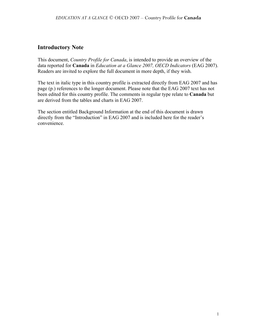# **Introductory Note**

This document, *Country Profile for Canada*, is intended to provide an overview of the data reported for **Canada** in *Education at a Glance 2007, OECD Indicators* (EAG 2007). Readers are invited to explore the full document in more depth, if they wish.

The text in italic type in this country profile is extracted directly from EAG 2007 and has page (p.) references to the longer document. Please note that the EAG 2007 text has not been edited for this country profile. The comments in regular type relate to **Canada** but are derived from the tables and charts in EAG 2007.

The section entitled Background Information at the end of this document is drawn directly from the "Introduction" in EAG 2007 and is included here for the reader's convenience.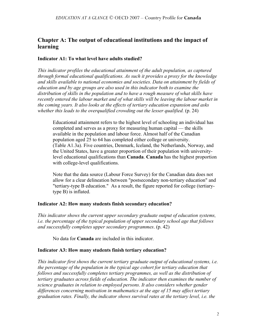# **Chapter A: The output of educational institutions and the impact of learning**

#### **Indicator A1: To what level have adults studied?**

*This indicator profiles the educational attainment of the adult population, as captured through formal educational qualifications. As such it provides a proxy for the knowledge and skills available to national economies and societies. Data on attainment by fields of education and by age groups are also used in this indicator both to examine the distribution of skills in the population and to have a rough measure of what skills have recently entered the labour market and of what skills will be leaving the labour market in the coming years. It also looks at the effects of tertiary education expansion and asks whether this leads to the overqualified crowding out the lesser qualified.* (p. 24)

Educational attainment refers to the highest level of schooling an individual has completed and serves as a proxy for measuring human capital — the skills available in the population and labour force. Almost half of the Canadian population aged 25 to 64 has completed either college or university. (Table A1.3a). Five countries, Denmark, Iceland, the Netherlands, Norway, and the United States, have a greater proportion of their population with universitylevel educational qualifications than **Canada**. **Canada** has the highest proportion with college-level qualifications.

Note that the data source (Labour Force Survey) for the Canadian data does not allow for a clear delineation between "postsecondary non-tertiary education" and "tertiary-type B education." As a result, the figure reported for college (tertiarytype B) is inflated.

#### **Indicator A2: How many students finish secondary education?**

*This indicator shows the current upper secondary graduate output of education systems, i.e. the percentage of the typical population of upper secondary school age that follows and successfully completes upper secondary programmes*. (p. 42)

No data for **Canada** are included in this indicator.

#### **Indicator A3: How many students finish tertiary education?**

*This indicator first shows the current tertiary graduate output of educational systems, i.e. the percentage of the population in the typical age cohort for tertiary education that follows and successfully completes tertiary programmes, as well as the distribution of tertiary graduates across fields of education. The indicator then examines the number of science graduates in relation to employed persons. It also considers whether gender differences concerning motivation in mathematics at the age of 15 may affect tertiary graduation rates. Finally, the indicator shows survival rates at the tertiary level, i.e. the*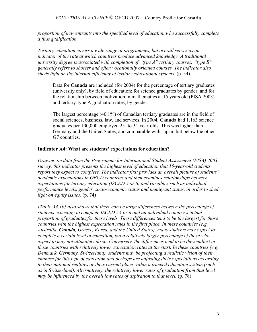*proportion of new entrants into the specified level of education who successfully complete a first qualification.* 

*Tertiary education covers a wide range of programmes, but overall serves as an indicator of the rate at which countries produce advanced knowledge. A traditional university degree is associated with completion of "type A" tertiary courses; "type B" generally refers to shorter and often vocationally oriented courses. The indicator also sheds light on the internal efficiency of tertiary educational systems.* (p. 54)

Data for **Canada** are included (for 2004) for the percentage of tertiary graduates (university only), by field of education; for science graduates by gender; and for the relationship between motivation in mathematics at 15 years old (PISA 2003) and tertiary-type A graduation rates, by gender.

The largest percentage (40.1%) of Canadian tertiary graduates are in the field of social sciences, business, law, and services. In 2004, **Canada** had 1,163 science graduates per 100,000 employed 25- to 34-year-olds. This was higher than Germany and the United States, and comparable with Japan, but below the other G7 countries.

#### **Indicator A4: What are students' expectations for education?**

*Drawing on data from the Programme for International Student Assessment (PISA) 2003 survey, this indicator presents the highest level of education that 15-year-old students report they expect to complete. The indicator first provides an overall picture of students' academic expectations in OECD countries and then examines relationships between expectations for tertiary education (ISCED 5 or 6) and variables such as individual performance levels, gender, socio-economic status and immigrant status, in order to shed light on equity issues*. (p. 74)

*[Table A4.1b] also shows that there can be large differences between the percentage of students expecting to complete ISCED 5A or 6 and an individual country's actual proportion of graduates for these levels. These differences tend to be the largest for those countries with the highest expectation rates in the first place. In these countries (e.g. Australia, Canada, Greece, Korea, and the United States), many students may expect to complete a certain level of education, but a relatively larger percentage of those who expect to may not ultimately do so. Conversely, the differences tend to be the smallest in those countries with relatively lower expectation rates at the start. In these countries (e.g. Denmark, Germany, Switzerland), students may be projecting a realistic vision of their chances for this type of education and perhaps are adjusting their expectations according to their national realities or their current place within a tracked education system (such as in Switzerland). Alternatively, the relatively lower rates of graduation from that level may be influenced by the overall low rates of aspiration to that level.* (p. 78)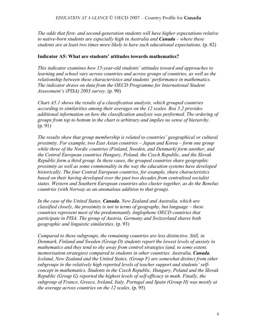*The odds that first- and second-generation students will have higher expectations relative to native-born students are especially high in Australia and Canada – where these students are at least two times more likely to have such educational expectations.* (p. 82)

#### **Indicator A5: What are students' attitudes towards mathematics?**

*This indicator examines how 15-year-old students' attitudes toward and approaches to learning and school vary across countries and across groups of countries, as well as the relationship between these characteristics and students' performance in mathematics. The indicator draws on data from the OECD Programme for International Student Assessment's (PISA) 2003 survey.* (p. 90)

*Chart A5.1 shows the results of a classification analysis, which grouped countries according to similarities among their averages on the 12 scales. Box 5.2 provides additional information on how the classification analysis was performed. The ordering of groups from top to bottom in the chart is arbitrary and implies no sense of hierarchy*. (p. 91)

*The results show that group membership is related to countries' geographical or cultural proximity. For example, two East Asian countries – Japan and Korea – form one group while three of the Nordic countries (Finland, Sweden, and Denmark) form another, and the Central European countries Hungary, Poland, the Czech Republic, and the Slovak Republic form a third group. In these cases, the grouped countries share geographic proximity as well as some commonality in the way the education systems have developed historically. The four Central European countries, for example, share characteristics based on their having developed over the past two decades from centralised socialist states. Western and Southern European countries also cluster together, as do the Benelux countries (with Norway as an anomalous addition to that group).* 

*In the case of the United States, Canada, New Zealand and Australia, which are classified closely, the proximity is not in terms of geography, but language – these countries represent most of the predominantly Anglophone OECD countries that participate in PISA. The group of Austria, Germany and Switzerland shares both geographic and linguistic similarities*. (p. 93)

*Compared to these subgroups, the remaining countries are less distinctive. Still, in Denmark, Finland and Sweden (Group D) students report the lowest levels of anxiety in mathematics and they tend to shy away from control strategies (and, to some extent, memorisation strategies) compared to students in other countries. Australia, Canada, Iceland, New Zealand and the United States, (Group F) are somewhat distinct from other subgroups in the relatively high reported levels of teacher support and students' selfconcept in mathematics. Students in the Czech Republic, Hungary, Poland and the Slovak Republic (Group G) reported the highest levels of self-efficacy in math. Finally, the subgroup of France, Greece, Ireland, Italy, Portugal and Spain (Group H) was mostly at the average across countries on the 12 scales*. (p. 95)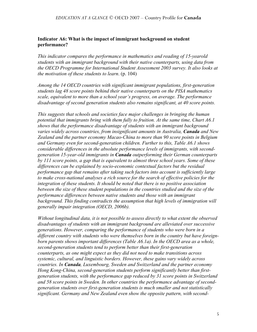#### **Indicator A6: What is the impact of immigrant background on student performance?**

*This indicator compares the performance in mathematics and reading of 15-yearold students with an immigrant background with their native counterparts, using data from the OECD Programme for International Student Assessment 2003 survey. It also looks at the motivation of these students to learn*. (p. 104)

*Among the 14 OECD countries with significant immigrant populations, first-generation students lag 48 score points behind their native counterparts on the PISA mathematics scale, equivalent to more than a school year's progress, on average. The performance disadvantage of second generation students also remains significant, at 40 score points.* 

*This suggests that schools and societies face major challenges in bringing the human potential that immigrants bring with them fully to fruition. At the same time, Chart A6.1 shows that the performance disadvantage of students with an immigrant background varies widely across countries, from insignificant amounts in Australia, Canada and New Zealand and the partner economy Macao-China to more than 90 score points in Belgium and Germany even for second-generation children. Further to this, Table A6.1 shows considerable differences in the absolute performance levels of immigrants, with secondgeneration 15-year-old immigrants in Canada outperforming their German counterparts by 111 score points, a gap that is equivalent to almost three school years. Some of these differences can be explained by socio-economic contextual factors but the residual performance gap that remains after taking such factors into account is sufficiently large to make cross-national analyses a rich source for the search of effective policies for the integration of these students. It should be noted that there is no positive association between the size of these student populations in the countries studied and the size of the performance differences between native students and those with an immigrant*  background. This finding contradicts the assumption that high levels of immigration will *generally impair integration (OECD, 2006b).* 

*Without longitudinal data, it is not possible to assess directly to what extent the observed disadvantages of students with an immigrant background are alleviated over successive generations. However, comparing the performance of students who were born in a different country with students who were themselves born in the country but have foreign*born parents shows important differences (Table A6.1a). In the OECD area as a whole, *second-generation students tend to perform better than their first-generation counterparts, as one might expect as they did not need to make transitions across systemic, cultural, and linguistic borders. However, these gains vary widely across countries. In Canada, Luxembourg, Sweden and Switzerland and the partner economy Hong Kong-China, second-generation students perform significantly better than firstgeneration students, with the performance gap reduced by 31 score points in Switzerland and 58 score points in Sweden. In other countries the performance advantage of secondgeneration students over first-generation students is much smaller and not statistically significant. Germany and New Zealand even show the opposite pattern, with second-*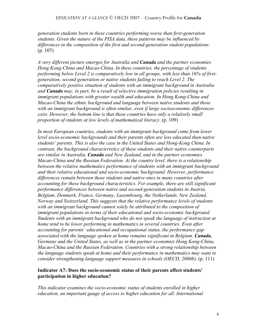*generation students born in these countries performing worse than first-generation students. Given the nature of the PISA data, these patterns may be influenced by differences in the composition of the first and second-generation student populations*. (p. 107)

*A very different picture emerges for Australia and Canada and the partner economies Hong Kong-China and Macao-China. In these countries, the percentage of students performing below Level 2 is comparatively low in all groups, with less than 16% of firstgeneration, second generation or native students failing to reach Level 2. The comparatively positive situation of students with an immigrant background in Australia and Canada may, in part, be a result of selective immigration policies resulting in immigrant populations with greater wealth and education. In Hong Kong-China and Macao-China the ethnic background and language between native students and those with an immigrant background is often similar, even if large socioeconomic differences exist. However, the bottom line is that these countries have only a relatively small proportion of students at low levels of mathematical literacy*. (p. 109)

*In most European countries, students with an immigrant background come from lower level socio-economic backgrounds and their parents often are less educated than native students' parents. This is also the case in the United States and Hong-Kong China. In contrast, the background characteristics of these students and their native counterparts are similar in Australia, Canada and New Zealand, and in the partner economies Macao-China and the Russian Federation. At the country level, there is a relationship between the relative mathematics performance of students with an immigrant background and their relative educational and socio-economic background. However, performance differences remain between these students and native ones in many countries after accounting for these background characteristics. For example, there are still significant performance differences between native and second-generation students in Austria, Belgium, Denmark, France, Germany, Luxembourg, the Netherlands, New Zealand, Norway and Switzerland. This suggests that the relative performance levels of students with an immigrant background cannot solely be attributed to the composition of immigrant populations in terms of their educational and socio-economic background. Students with an immigrant background who do not speak the language of instruction at home tend to be lower performing in mathematics in several countries. Even after accounting for parents' educational and occupational status, the performance gap associated with the language spoken at home remains significant in Belgium, Canada, Germany and the United States, as well as in the partner economies Hong Kong-China, Macao-China and the Russian Federation. Countries with a strong relationship between the language students speak at home and their performance in mathematics may want to consider strengthening language support measures in schools (OECD, 2006b).* (p. 111)

#### **Indicator A7: Does the socio-economic status of their parents affect students' participation in higher education?**

*This indicator examines the socio-economic status of students enrolled in higher education, an important gauge of access to higher education for all. International*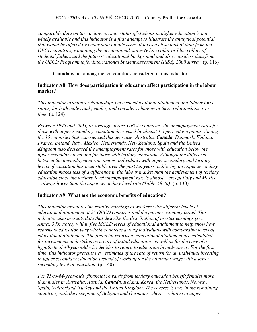#### *EDUCATION AT A GLANCE* © OECD 2007 – Country Profile for **Canada**

*comparable data on the socio-economic status of students in higher education is not widely available and this indicator is a first attempt to illustrate the analytical potential that would be offered by better data on this issue. It takes a close look at data from ten OECD countries, examining the occupational status (white collar or blue collar) of students' fathers and the fathers' educational background and also considers data from the OECD Programme for International Student Assessment (PISA) 2000 survey.* (p. 116)

**Canada** is not among the ten countries considered in this indicator.

#### **Indicator A8: How does participation in education affect participation in the labour market?**

*This indicator examines relationships between educational attainment and labour force status, for both males and females, and considers changes in these relationships over time.* (p. 124)

*Between 1995 and 2005, on average across OECD countries, the unemployment rates for those with upper secondary education decreased by almost 1.5 percentage points. Among the 15 countries that experienced this decrease, Australia, Canada, Denmark, Finland, France, Ireland, Italy, Mexico, Netherlands, New Zealand, Spain and the United Kingdom also decreased the unemployment rates for those with education below the upper secondary level and for those with tertiary education. Although the difference between the unemployment rate among individuals with upper secondary and tertiary levels of education has been stable over the past ten years, achieving an upper secondary education makes less of a difference in the labour market than the achievement of tertiary education since the tertiary-level unemployment rate is almost – except Italy and Mexico – always lower than the upper secondary level rate (Table A8.4a)*. (p. 130)

#### **Indicator A9: What are the economic benefits of education?**

*This indicator examines the relative earnings of workers with different levels of educational attainment of 25 OECD countries and the partner economy Israel. This indicator also presents data that describe the distribution of pre-tax earnings (see Annex 3 for notes) within five ISCED levels of educational attainment to help show how returns to education vary within countries among individuals with comparable levels of educational attainment. The financial returns to educational attainment are calculated for investments undertaken as a part of initial education, as well as for the case of a hypothetical 40-year-old who decides to return to education in mid-career. For the first time, this indicator presents new estimates of the rate of return for an individual investing in upper secondary education instead of working for the minimum wage with a lower secondary level of education*. (p. 140)

*For 25-to-64-year-olds, financial rewards from tertiary education benefit females more than males in Australia, Austria, Canada, Ireland, Korea, the Netherlands, Norway, Spain, Switzerland, Turkey and the United Kingdom. The reverse is true in the remaining countries, with the exception of Belgium and Germany, where – relative to upper*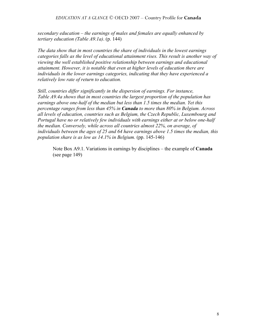*secondary education – the earnings of males and females are equally enhanced by tertiary education (Table A9.1a)*. (p. 144)

*The data show that in most countries the share of individuals in the lowest earnings categories falls as the level of educational attainment rises. This result is another way of viewing the well established positive relationship between earnings and educational attainment. However, it is notable that even at higher levels of education there are individuals in the lower earnings categories, indicating that they have experienced a relatively low rate of return to education.* 

*Still, countries differ significantly in the dispersion of earnings. For instance, Table A9.4a shows that in most countries the largest proportion of the population has earnings above one-half of the median but less than 1.5 times the median. Yet this percentage ranges from less than 45% in Canada to more than 80% in Belgium. Across all levels of education, countries such as Belgium, the Czech Republic, Luxembourg and Portugal have no or relatively few individuals with earnings either at or below one-half the median. Conversely, while across all countries almost 22%, on average, of individuals between the ages of 25 and 64 have earnings above 1.5 times the median, this population share is as low as 14.1% in Belgium.* (pp. 145-146)

Note Box A9.1. Variations in earnings by disciplines – the example of **Canada** (see page 149)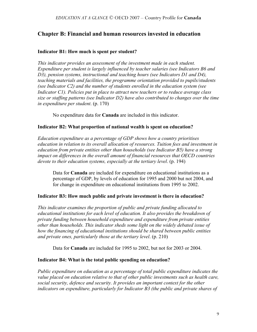# **Chapter B: Financial and human resources invested in education**

#### **Indicator B1: How much is spent per student?**

*This indicator provides an assessment of the investment made in each student. Expenditure per student is largely influenced by teacher salaries (see Indicators B6 and*  D3), pension systems, instructional and teaching hours (see Indicators D1 and D4), *teaching materials and facilities, the programme orientation provided to pupils/students (see Indicator C2) and the number of students enrolled in the education system (see Indicator C1). Policies put in place to attract new teachers or to reduce average class size or staffing patterns (see Indicator D2) have also contributed to changes over the time in expenditure per student*. (p. 170)

No expenditure data for **Canada** are included in this indicator.

#### **Indicator B2: What proportion of national wealth is spent on education?**

*Education expenditure as a percentage of GDP shows how a country prioritises education in relation to its overall allocation of resources. Tuition fees and investment in education from private entities other than households (see Indicator B5) have a strong impact on differences in the overall amount of financial resources that OECD countries devote to their education systems, especially at the tertiary level*. (p. 194)

Data for **Canada** are included for expenditure on educational institutions as a percentage of GDP, by levels of education for 1995 and 2000 but not 2004, and for change in expenditure on educational institutions from 1995 to 2002.

#### **Indicator B3: How much public and private investment is there in education?**

*This indicator examines the proportion of public and private funding allocated to educational institutions for each level of education. It also provides the breakdown of private funding between household expenditure and expenditure from private entities other than households. This indicator sheds some light on the widely debated issue of how the financing of educational institutions should be shared between public entities and private ones, particularly those at the tertiary level*. (p. 210)

Data for **Canada** are included for 1995 to 2002, but not for 2003 or 2004.

#### **Indicator B4: What is the total public spending on education?**

*Public expenditure on education as a percentage of total public expenditure indicates the value placed on education relative to that of other public investments such as health care, social security, defence and security. It provides an important context for the other indicators on expenditure, particularly for Indicator B3 (the public and private shares of*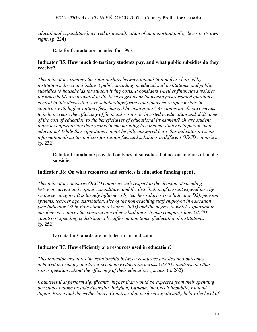#### *EDUCATION AT A GLANCE* © OECD 2007 – Country Profile for **Canada**

*educational expenditure), as well as quantification of an important policy lever in its own right*. (p. 224)

Data for **Canada** are included for 1995.

#### **Indicator B5: How much do tertiary students pay, and what public subsidies do they receive?**

*This indicator examines the relationships between annual tuition fees charged by institutions, direct and indirect public spending on educational institutions, and public subsidies to households for student living costs. It considers whether financial subsidies for households are provided in the form of grants or loans and poses related questions central to this discussion: Are scholarships/grants and loans more appropriate in countries with higher tuitions fees charged by institutions? Are loans an effective means to help increase the efficiency of financial resources invested in education and shift some of the cost of education to the beneficiaries of educational investment? Or are student loans less appropriate than grants in encouraging low income students to pursue their education? While these questions cannot be fully answered here, this indicator presents information about the policies for tuition fees and subsidies in different OECD countries*. (p. 232)

Data for **Canada** are provided on types of subsidies, but not on amounts of public subsidies.

#### **Indicator B6: On what resources and services is education funding spent?**

*This indicator compares OECD countries with respect to the division of spending between current and capital expenditure, and the distribution of current expenditure by resource category. It is largely influenced by teacher salaries (see Indicator D3), pension systems, teacher age distribution, size of the non-teaching staff employed in education (see Indicator D2 in Education at a Glance 2005) and the degree to which expansion in enrolments requires the construction of new buildings. It also compares how OECD countries' spending is distributed by different functions of educational institutions.*  (p. 252)

No data for **Canada** are included in this indicator.

#### **Indicator B7: How efficiently are resources used in education?**

*This indicator examines the relationship between resources invested and outcomes achieved in primary and lower secondary education across OECD countries and thus raises questions about the efficiency of their education systems.* (p. 262)

*Countries that perform significantly higher than would be expected from their spending per student alone include Australia, Belgium, Canada, the Czech Republic, Finland, Japan, Korea and the Netherlands. Countries that perform significantly below the level of*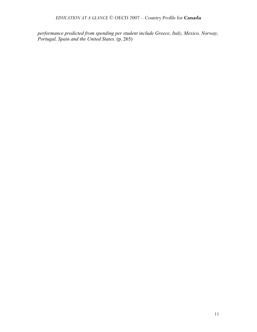### *EDUCATION AT A GLANCE* © OECD 2007 – Country Profile for **Canada**

*performance predicted from spending per student include Greece, Italy, Mexico, Norway, Portugal, Spain and the United States.* (p. 265)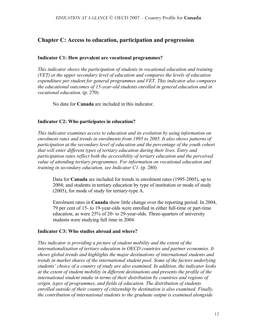# **Chapter C: Access to education, participation and progression**

#### **Indicator C1: How prevalent are vocational programmes?**

*This indicator shows the participation of students in vocational education and training (VET) at the upper secondary level of education and compares the levels of education expenditure per student for general programmes and VET. This indicator also compares the educational outcomes of 15-year-old students enrolled in general education and in vocational education.* (p. 270)

No data for **Canada** are included in this indicator.

#### **Indicator C2: Who participates in education?**

*This indicator examines access to education and its evolution by using information on enrolment rates and trends in enrolments from 1995 to 2005. It also shows patterns of participation at the secondary level of education and the percentage of the youth cohort that will enter different types of tertiary education during their lives. Entry and participation rates reflect both the accessibility of tertiary education and the perceived value of attending tertiary programmes. For information on vocational education and training in secondary education, see Indicator C1*. (p. 280)

Data for **Canada** are included for trends in enrolment rates (1995-2005), up to 2004; and students in tertiary education by type of institution or mode of study (2005), for mode of study for tertiary-type A.

Enrolment rates in **Canada** show little change over the reporting period. In 2004, 79 per cent of 15- to 19-year-olds were enrolled in either full-time or part-time education, as were 25% of 20- to 29-year-olds. Three-quarters of university students were studying full time in 2004.

#### **Indicator C3: Who studies abroad and where?**

*This indicator is providing a picture of student mobility and the extent of the internationalisation of tertiary education in OECD countries and partner economies. It shows global trends and highlights the major destinations of international students and trends in market shares of the international student pool. Some of the factors underlying students' choice of a country of study are also examined. In addition, the indicator looks at the extent of student mobility in different destinations and presents the profile of the international student intake in terms of their distribution by countries and regions of origin, types of programmes, and fields of education. The distribution of students enrolled outside of their country of citizenship by destination is also examined. Finally, the contribution of international students to the graduate output is examined alongside*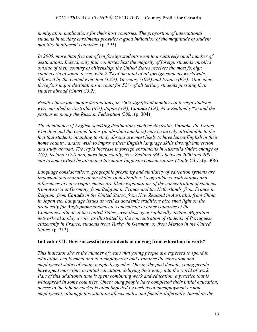*immigration implications for their host countries. The proportion of international students in tertiary enrolments provides a good indication of the magnitude of student mobility in different countries*. (p. 293)

*In 2005, more than five out of ten foreign students went to a relatively small number of destinations. Indeed, only four countries host the majority of foreign students enrolled outside of their country of citizenship: the United States receives the most foreign students (in absolute terms) with 22% of the total of all foreign students worldwide, followed by the United Kingdom (12%), Germany (10%) and France (9%). Altogether, these four major destinations account for 52% of all tertiary students pursuing their studies abroad (Chart C3.2).* 

*Besides these four major destinations, in 2005 significant numbers of foreign students were enrolled in Australia (6%), Japan (5%), Canada (3%), New Zealand (3%) and the partner economy the Russian Federation (3%)*. (p. 304)

*The dominance of English-speaking destinations such as Australia, Canada, the United Kingdom and the United States (in absolute numbers) may be largely attributable to the fact that students intending to study abroad are most likely to have learnt English in their home country, and/or wish to improve their English language skills through immersion and study abroad. The rapid increase in foreign enrolments in Australia (index change of 167), Ireland (174) and, most importantly, New Zealand (845) between 2000 and 2005 can to some extent be attributed to similar linguistic considerations (Table C3.1)*.(p. 306)

*Language considerations, geographic proximity and similarity of education systems are important determinants of the choice of destination. Geographic considerations and differences in entry requirements are likely explanations of the concentration of students from Austria in Germany, from Belgium in France and the Netherlands, from France in Belgium, from Canada in the United States, from New Zealand in Australia, from China in Japan etc. Language issues as well as academic traditions also shed light on the propensity for Anglophone students to concentrate in other countries of the Commonwealth or in the United States, even those geographically distant. Migration networks also play a role, as illustrated by the concentration of students of Portuguese citizenship in France, students from Turkey in Germany or from Mexico in the United States.* (p. 313)

#### **Indicator C4: How successful are students in moving from education to work?**

*This indicator shows the number of years that young people are expected to spend in education, employment and non-employment and examines the education and employment status of young people by gender. During the past decade, young people have spent more time in initial education, delaying their entry into the world of work. Part of this additional time is spent combining work and education, a practice that is widespread in some countries. Once young people have completed their initial education, access to the labour market is often impeded by periods of unemployment or nonemployment, although this situation affects males and females differently. Based on the*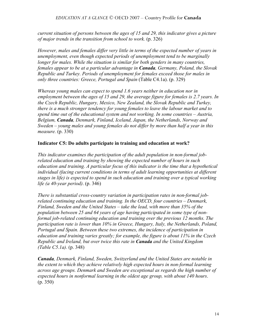*current situation of persons between the ages of 15 and 29, this indicator gives a picture of major trends in the transition from school to work.* (p. 326)

*However, males and females differ very little in terms of the expected number of years in unemployment, even though expected periods of unemployment tend to be marginally longer for males. While the situation is similar for both genders in many countries, females appear to be at a particular advantage in Canada, Germany, Poland, the Slovak Republic and Turkey. Periods of unemployment for females exceed those for males in only three countries: Greece, Portugal and Spain* (Table C4.1a). (p. 329)

*Whereas young males can expect to spend 1.6 years neither in education nor in employment between the ages of 15 and 29, the average figure for females is 2.7 years. In the Czech Republic, Hungary, Mexico, New Zealand, the Slovak Republic and Turkey, there is a much stronger tendency for young females to leave the labour market and to spend time out of the educational system and not working. In some countries – Austria, Belgium, Canada, Denmark, Finland, Iceland, Japan, the Netherlands, Norway and Sweden – young males and young females do not differ by more than half a year in this measure.* (p. 330)

#### **Indicator C5: Do adults participate in training and education at work?**

*This indicator examines the participation of the adult population in non-formal jobrelated education and training by showing the expected number of hours in such education and training. A particular focus of this indicator is the time that a hypothetical individual (facing current conditions in terms of adult learning opportunities at different stages in life) is expected to spend in such education and training over a typical working life (a 40-year period)*. (p. 346)

*There is substantial cross-country variation in participation rates in non-formal jobrelated continuing education and training. In the OECD, four countries – Denmark, Finland, Sweden and the United States – take the lead, with more than 35% of the population between 25 and 64 years of age having participated in some type of nonformal job-related continuing education and training over the previous 12 months. The participation rate is lower than 10% in Greece, Hungary, Italy, the Netherlands, Poland, Portugal and Spain. Between these two extremes, the incidence of participation in education and training varies greatly; for example, the figure is about 11% in the Czech Republic and Ireland, but over twice this rate in Canada and the United Kingdom (Table C5.1a).* (p. 348)

*Canada, Denmark, Finland, Sweden, Switzerland and the United States are notable in the extent to which they achieve relatively high expected hours in non-formal learning across age groups. Denmark and Sweden are exceptional as regards the high number of expected hours in nonformal learning in the oldest age group, with about 140 hours*. (p. 350)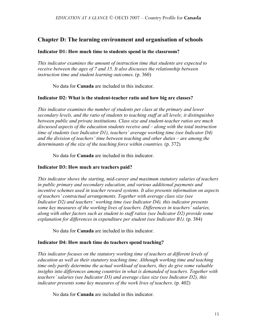# **Chapter D: The learning environment and organisation of schools**

#### **Indicator D1: How much time to students spend in the classroom?**

*This indicator examines the amount of instruction time that students are expected to receive between the ages of 7 and 15. It also discusses the relationship between instruction time and student learning outcomes*. (p. 360)

No data for **Canada** are included in this indicator.

#### **Indicator D2: What is the student-teacher ratio and how big are classes?**

*This indicator examines the number of students per class at the primary and lower secondary levels, and the ratio of students to teaching staff at all levels; it distinguishes between public and private institutions. Class size and student-teacher ratios are much discussed aspects of the education students receive and – along with the total instruction time of students (see Indicator D1), teachers' average working time (see Indicator D4) and the division of teachers' time between teaching and other duties – are among the determinants of the size of the teaching force within countries.* (p. 372)

No data for **Canada** are included in this indicator.

#### **Indicator D3: How much are teachers paid?**

*This indicator shows the starting, mid-career and maximum statutory salaries of teachers in public primary and secondary education, and various additional payments and incentive schemes used in teacher reward systems. It also presents information on aspects of teachers' contractual arrangements. Together with average class size (see Indicator D2) and teachers' working time (see Indicator D4), this indicator presents some key measures of the working lives of teachers. Differences in teachers' salaries, along with other factors such as student to staff ratios (see Indicator D2) provide some explanation for differences in expenditure per student (see Indicator B1).* (p. 384)

No data for **Canada** are included in this indicator.

#### **Indicator D4: How much time do teachers spend teaching?**

*This indicator focuses on the statutory working time of teachers at different levels of education as well as their statutory teaching time. Although working time and teaching time only partly determine the actual workload of teachers, they do give some valuable insights into differences among countries in what is demanded of teachers. Together with teachers' salaries (see Indicator D3) and average class size (see Indicator D2), this indicator presents some key measures of the work lives of teachers*. (p. 402)

No data for **Canada** are included in this indicator.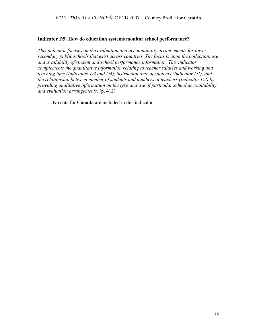#### **Indicator D5: How do education systems monitor school performance?**

*This indicator focuses on the evaluation and accountability arrangements for lower secondary public schools that exist across countries. The focus is upon the collection, use and availability of student and school performance information. This indicator complements the quantitative information relating to teacher salaries and working and teaching time (Indicators D3 and D4), instruction time of students (Indicator D1), and the relationship between number of students and numbers of teachers (Indicator D2) by providing qualitative information on the type and use of particular school accountability and evaluation arrangements*. (p. 412)

No data for **Canada** are included in this indicator.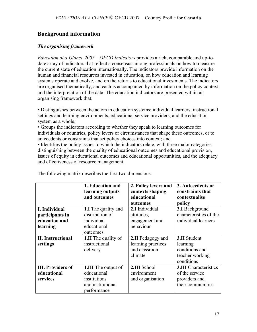# **Background information**

#### *The organising framework*

*Education at a Glance 2007 – OECD Indicators* provides a rich, comparable and up-todate array of indicators that reflect a consensus among professionals on how to measure the current state of education internationally. The indicators provide information on the human and financial resources invested in education, on how education and learning systems operate and evolve, and on the returns to educational investments. The indicators are organised thematically, and each is accompanied by information on the policy context and the interpretation of the data. The education indicators are presented within an organising framework that:

*•* Distinguishes between the actors in education systems: individual learners, instructional settings and learning environments, educational service providers, and the education system as a whole;

*•* Groups the indicators according to whether they speak to learning outcomes for individuals or countries, policy levers or circumstances that shape these outcomes, or to antecedents or constraints that set policy choices into context; and

*•* Identifies the policy issues to which the indicators relate, with three major categories distinguishing between the quality of educational outcomes and educational provision, issues of equity in educational outcomes and educational opportunities, and the adequacy and effectiveness of resource management.

|                                                               | 1. Education and<br>learning outputs<br>and outcomes                                          | 2. Policy levers and<br>contexts shaping<br>educational<br>outcomes | 3. Antecedents or<br>constraints that<br>contextualise<br>policy                     |
|---------------------------------------------------------------|-----------------------------------------------------------------------------------------------|---------------------------------------------------------------------|--------------------------------------------------------------------------------------|
| I. Individual<br>participants in<br>education and<br>learning | <b>1.I</b> The quality and<br>distribution of<br>individual<br>educational<br>outcomes        | 2.I Individual<br>attitudes,<br>engagement and<br>behaviour         | 3.I Background<br>characteristics of the<br>individual learners                      |
| <b>II.</b> Instructional<br>settings                          | <b>1.II</b> The quality of<br>instructional<br>delivery                                       | 2.II Pedagogy and<br>learning practices<br>and classroom<br>climate | <b>3.II</b> Student<br>learning<br>conditions and<br>teacher working<br>conditions   |
| <b>III.</b> Providers of<br>educational<br>services           | <b>1.III</b> The output of<br>educational<br>institutions<br>and institutional<br>performance | 2.III School<br>environment<br>and organisation                     | <b>3.III</b> Characteristics<br>of the service<br>providers and<br>their communities |

The following matrix describes the first two dimensions: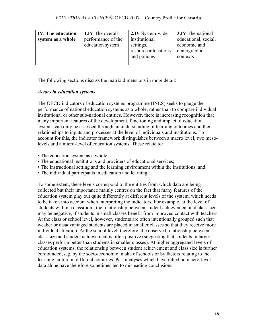| <b>IV.</b> The education | 1.IV The overall   | 2.IV System-wide     | <b>3.IV</b> The national |
|--------------------------|--------------------|----------------------|--------------------------|
| system as a whole        | performance of the | institutional        | educational, social,     |
|                          | education system   | settings,            | economic and             |
|                          |                    | resource allocations | demographic              |
|                          |                    | and policies         | contexts                 |
|                          |                    |                      |                          |

The following sections discuss the matrix dimensions in more detail:

#### *Actors in education systems*

The OECD indicators of education systems programme (INES) seeks to gauge the performance of national education systems as a whole, rather than to compare individual institutional or other sub-national entities. However, there is increasing recognition that many important features of the development, functioning and impact of education systems can only be assessed through an understanding of learning outcomes and their relationships to inputs and processes at the level of individuals and institutions. To account for this, the indicator framework distinguishes between a macro level, two mesolevels and a micro-level of education systems. These relate to:

- The education system as a whole;
- The educational institutions and providers of educational services;
- The instructional setting and the learning environment within the institutions; and
- The individual participants in education and learning.

To some extent, these levels correspond to the entities from which data are being collected but their importance mainly centres on the fact that many features of the education system play out quite differently at different levels of the system, which needs to be taken into account when interpreting the indicators. For example, at the level of students within a classroom, the relationship between student achievement and class size may be negative, if students in small classes benefit from improved contact with teachers. At the class or school level, however, students are often intentionally grouped such that weaker or disadvantaged students are placed in smaller classes so that they receive more individual attention. At the school level, therefore, the observed relationship between class size and student achievement is often positive (suggesting that students in larger classes perform better than students in smaller classes). At higher aggregated levels of education systems, the relationship between student achievement and class size is further confounded, *e.g.* by the socio-economic intake of schools or by factors relating to the learning culture in different countries. Past analyses which have relied on macro-level data alone have therefore sometimes led to misleading conclusions.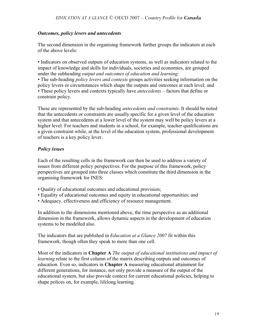#### *Outcomes, policy levers and antecedents*

The second dimension in the organising framework further groups the indicators at each of the above levels:

*•* Indicators on observed outputs of education systems, as well as indicators related to the impact of knowledge and skills for individuals, societies and economies, are grouped under the subheading *output and outcomes of education and learning;*

*•* The sub-heading *policy levers and contexts* groups activities seeking information on the policy levers or circumstances which shape the outputs and outcomes at each level; and *•* These policy levers and contexts typically have *antecedents* – factors that define or constrain policy.

These are represented by the sub-heading *antecedents and constraints*. It should be noted that the antecedents or constraints are usually specific for a given level of the education system and that antecedents at a lower level of the system may well be policy levers at a higher level. For teachers and students in a school, for example, teacher qualifications are a given constraint while, at the level of the education system, professional development of teachers is a key policy lever.

#### *Policy issues*

Each of the resulting cells in the framework can then be used to address a variety of issues from different policy perspectives. For the purpose of this framework, policy perspectives are grouped into three classes which constitute the third dimension in the organising framework for INES:

- Quality of educational outcomes and educational provision;
- Equality of educational outcomes and equity in educational opportunities; and
- Adequacy, effectiveness and efficiency of resource management.

In addition to the dimensions mentioned above, the time perspective as an additional dimension in the framework, allows dynamic aspects in the development of education systems to be modelled also.

The indicators that are published in *Education at a Glance 2007* fit within this framework, though often they speak to more than one cell.

Most of the indicators in **Chapter A** *The output of educational institutions and impact of learning* relate to the first column of the matrix describing outputs and outcomes of education. Even so, indicators in **Chapter A** measuring educational attainment for different generations, for instance, not only provide a measure of the output of the educational system, but also provide context for current educational policies, helping to shape polices on, for example, lifelong learning.